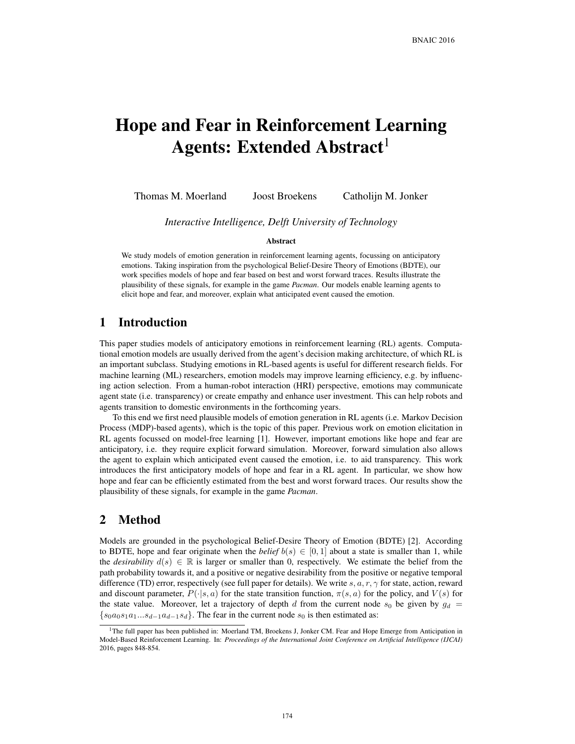# Hope and Fear in Reinforcement Learning Agents: Extended Abstract<sup>1</sup>

Thomas M. Moerland Joost Broekens Catholijn M. Jonker

*Interactive Intelligence, Delft University of Technology*

#### Abstract

We study models of emotion generation in reinforcement learning agents, focussing on anticipatory emotions. Taking inspiration from the psychological Belief-Desire Theory of Emotions (BDTE), our work specifies models of hope and fear based on best and worst forward traces. Results illustrate the plausibility of these signals, for example in the game *Pacman*. Our models enable learning agents to elicit hope and fear, and moreover, explain what anticipated event caused the emotion.

## 1 Introduction

This paper studies models of anticipatory emotions in reinforcement learning (RL) agents. Computational emotion models are usually derived from the agent's decision making architecture, of which RL is an important subclass. Studying emotions in RL-based agents is useful for different research fields. For machine learning (ML) researchers, emotion models may improve learning efficiency, e.g. by influencing action selection. From a human-robot interaction (HRI) perspective, emotions may communicate agent state (i.e. transparency) or create empathy and enhance user investment. This can help robots and agents transition to domestic environments in the forthcoming years.

To this end we first need plausible models of emotion generation in RL agents (i.e. Markov Decision Process (MDP)-based agents), which is the topic of this paper. Previous work on emotion elicitation in RL agents focussed on model-free learning [1]. However, important emotions like hope and fear are anticipatory, i.e. they require explicit forward simulation. Moreover, forward simulation also allows the agent to explain which anticipated event caused the emotion, i.e. to aid transparency. This work introduces the first anticipatory models of hope and fear in a RL agent. In particular, we show how hope and fear can be efficiently estimated from the best and worst forward traces. Our results show the plausibility of these signals, for example in the game *Pacman*.

## 2 Method

Models are grounded in the psychological Belief-Desire Theory of Emotion (BDTE) [2]. According to BDTE, hope and fear originate when the *belief*  $b(s) \in [0,1]$  about a state is smaller than 1, while the *desirability*  $d(s) \in \mathbb{R}$  is larger or smaller than 0, respectively. We estimate the belief from the path probability towards it, and a positive or negative desirability from the positive or negative temporal difference (TD) error, respectively (see full paper for details). We write  $s, a, r, \gamma$  for state, action, reward and discount parameter,  $P(\cdot|s, a)$  for the state transition function,  $\pi(s, a)$  for the policy, and  $V(s)$  for the state value. Moreover, let a trajectory of depth d from the current node  $s_0$  be given by  $g_d$  =  ${s_0a_0s_1a_1...s_{d-1}a_{d-1}s_d}$ . The fear in the current node  $s_0$  is then estimated as:

<sup>&</sup>lt;sup>1</sup>The full paper has been published in: Moerland TM, Broekens J, Jonker CM. Fear and Hope Emerge from Anticipation in Model-Based Reinforcement Learning. In: *Proceedings of the International Joint Conference on Artificial Intelligence (IJCAI)* 2016, pages 848-854.